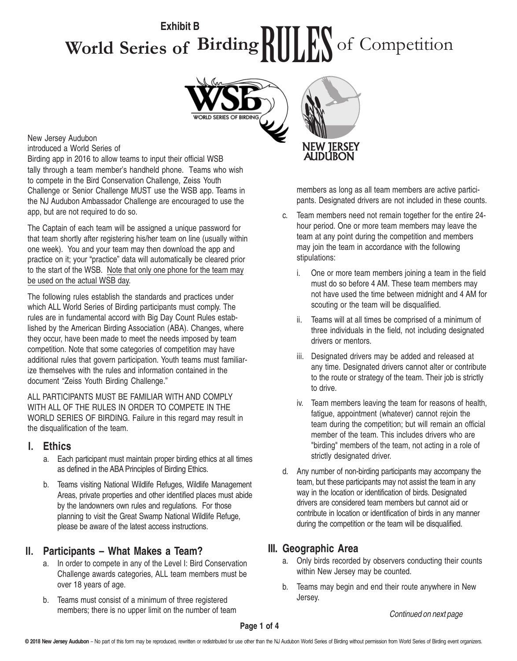### **World Series of Birding** RULES of Competition **Exhibit B**



### New Jersey Audubon

introduced a World Series of

Birding app in 2016 to allow teams to input their official WSB tally through a team member's handheld phone. Teams who wish to compete in the Bird Conservation Challenge, Zeiss Youth Challenge or Senior Challenge MUST use the WSB app. Teams in the NJ Audubon Ambassador Challenge are encouraged to use the app, but are not required to do so.

The Captain of each team will be assigned a unique password for that team shortly after registering his/her team on line (usually within one week). You and your team may then download the app and practice on it; your "practice" data will automatically be cleared prior to the start of the WSB. Note that only one phone for the team may be used on the actual WSB day.

The following rules establish the standards and practices under which ALL World Series of Birding participants must comply. The rules are in fundamental accord with Big Day Count Rules established by the American Birding Association (ABA). Changes, where they occur, have been made to meet the needs imposed by team competition. Note that some categories of competition may have additional rules that govern participation. Youth teams must familiarize themselves with the rules and information contained in the document "Zeiss Youth Birding Challenge."

ALL PARTICIPANTS MUST BE FAMILIAR WITH AND COMPLY WITH ALL OF THE RULES IN ORDER TO COMPETE IN THE WORLD SERIES OF BIRDING. Failure in this regard may result in the disqualification of the team.

#### **I. Ethics**

- a. Each participant must maintain proper birding ethics at all times as defined in the ABA Principles of Birding Ethics.
- b. Teams visiting National Wildlife Refuges, Wildlife Management Areas, private properties and other identified places must abide by the landowners own rules and regulations. For those planning to visit the Great Swamp National Wildlife Refuge, please be aware of the latest access instructions.

### **II. Participants – What Makes a Team?**

- a. In order to compete in any of the Level I: Bird Conservation Challenge awards categories, ALL team members must be over 18 years of age.
- b. Teams must consist of a minimum of three registered members; there is no upper limit on the number of team Continued on next page



members as long as all team members are active participants. Designated drivers are not included in these counts.

- c. Team members need not remain together for the entire 24 hour period. One or more team members may leave the team at any point during the competition and members may join the team in accordance with the following stipulations:
	- i. One or more team members joining a team in the field must do so before 4 AM. These team members may not have used the time between midnight and 4 AM for scouting or the team will be disqualified.
	- ii. Teams will at all times be comprised of a minimum of three individuals in the field, not including designated drivers or mentors.
	- iii. Designated drivers may be added and released at any time. Designated drivers cannot alter or contribute to the route or strategy of the team. Their job is strictly to drive.
	- iv. Team members leaving the team for reasons of health, fatigue, appointment (whatever) cannot rejoin the team during the competition; but will remain an official member of the team. This includes drivers who are "birding" members of the team, not acting in a role of strictly designated driver.
- d. Any number of non-birding participants may accompany the team, but these participants may not assist the team in any way in the location or identification of birds. Designated drivers are considered team members but cannot aid or contribute in location or identification of birds in any manner during the competition or the team will be disqualified.

### **III. Geographic Area**

- a. Only birds recorded by observers conducting their counts within New Jersey may be counted.
- b. Teams may begin and end their route anywhere in New Jersey.

**Page 1 of 4**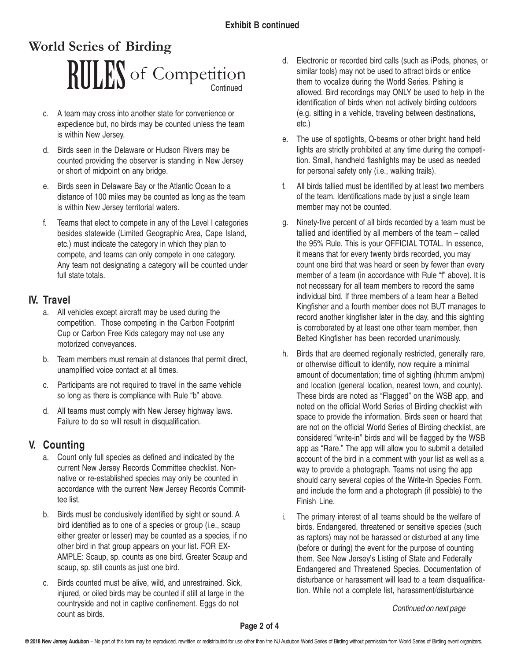# **Continued** RIILES of Competition **World Series of Birding**

- c. A team may cross into another state for convenience or expedience but, no birds may be counted unless the team is within New Jersey.
- d. Birds seen in the Delaware or Hudson Rivers may be counted providing the observer is standing in New Jersey or short of midpoint on any bridge.
- e. Birds seen in Delaware Bay or the Atlantic Ocean to a distance of 100 miles may be counted as long as the team is within New Jersey territorial waters.
- f. Teams that elect to compete in any of the Level I categories besides statewide (Limited Geographic Area, Cape Island, etc.) must indicate the category in which they plan to compete, and teams can only compete in one category. Any team not designating a category will be counted under full state totals.

### **IV. Travel**

- a. All vehicles except aircraft may be used during the competition. Those competing in the Carbon Footprint Cup or Carbon Free Kids category may not use any motorized conveyances.
- b. Team members must remain at distances that permit direct, unamplified voice contact at all times.
- c. Participants are not required to travel in the same vehicle so long as there is compliance with Rule "b" above.
- d. All teams must comply with New Jersey highway laws. Failure to do so will result in disqualification.

### **V. Counting**

- a. Count only full species as defined and indicated by the current New Jersey Records Committee checklist. Nonnative or re-established species may only be counted in accordance with the current New Jersey Records Committee list.
- b. Birds must be conclusively identified by sight or sound. A bird identified as to one of a species or group (i.e., scaup either greater or lesser) may be counted as a species, if no other bird in that group appears on your list. FOR EX-AMPLE: Scaup, sp. counts as one bird. Greater Scaup and scaup, sp. still counts as just one bird.
- c. Birds counted must be alive, wild, and unrestrained. Sick, injured, or oiled birds may be counted if still at large in the countryside and not in captive confinement. Eggs do not count as birds.
- d. Electronic or recorded bird calls (such as iPods, phones, or similar tools) may not be used to attract birds or entice them to vocalize during the World Series. Pishing is allowed. Bird recordings may ONLY be used to help in the identification of birds when not actively birding outdoors (e.g. sitting in a vehicle, traveling between destinations, etc.)
- e. The use of spotlights, Q-beams or other bright hand held lights are strictly prohibited at any time during the competition. Small, handheld flashlights may be used as needed for personal safety only (i.e., walking trails).
- f. All birds tallied must be identified by at least two members of the team. Identifications made by just a single team member may not be counted.
- g. Ninety-five percent of all birds recorded by a team must be tallied and identified by all members of the team – called the 95% Rule. This is your OFFICIAL TOTAL. In essence, it means that for every twenty birds recorded, you may count one bird that was heard or seen by fewer than every member of a team (in accordance with Rule "f" above). It is not necessary for all team members to record the same individual bird. If three members of a team hear a Belted Kingfisher and a fourth member does not BUT manages to record another kingfisher later in the day, and this sighting is corroborated by at least one other team member, then Belted Kingfisher has been recorded unanimously.
- h. Birds that are deemed regionally restricted, generally rare, or otherwise difficult to identify, now require a minimal amount of documentation; time of sighting (hh:mm am/pm) and location (general location, nearest town, and county). These birds are noted as "Flagged" on the WSB app, and noted on the official World Series of Birding checklist with space to provide the information. Birds seen or heard that are not on the official World Series of Birding checklist, are considered "write-in" birds and will be flagged by the WSB app as "Rare." The app will allow you to submit a detailed account of the bird in a comment with your list as well as a way to provide a photograph. Teams not using the app should carry several copies of the Write-In Species Form, and include the form and a photograph (if possible) to the Finish Line.
- i. The primary interest of all teams should be the welfare of birds. Endangered, threatened or sensitive species (such as raptors) may not be harassed or disturbed at any time (before or during) the event for the purpose of counting them. See New Jersey's Listing of State and Federally Endangered and Threatened Species. Documentation of disturbance or harassment will lead to a team disqualification. While not a complete list, harassment/disturbance

Continued on next page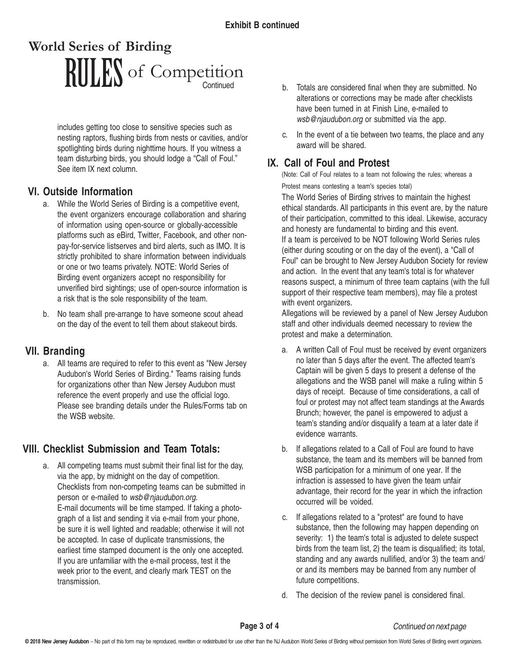# Continued RIILES of Competition **World Series of Birding**

includes getting too close to sensitive species such as nesting raptors, flushing birds from nests or cavities, and/or spotlighting birds during nighttime hours. If you witness a team disturbing birds, you should lodge a "Call of Foul." See item IX next column.

### **VI. Outside Information**

- a. While the World Series of Birding is a competitive event, the event organizers encourage collaboration and sharing of information using open-source or globally-accessible platforms such as eBird, Twitter, Facebook, and other nonpay-for-service listserves and bird alerts, such as IMO. It is strictly prohibited to share information between individuals or one or two teams privately. NOTE: World Series of Birding event organizers accept no responsibility for unverified bird sightings; use of open-source information is a risk that is the sole responsibility of the team.
- b. No team shall pre-arrange to have someone scout ahead on the day of the event to tell them about stakeout birds.

### **VII. Branding**

a. All teams are required to refer to this event as "New Jersey Audubon's World Series of Birding." Teams raising funds for organizations other than New Jersey Audubon must reference the event properly and use the official logo. Please see branding details under the Rules/Forms tab on the WSB website.

### **VIII. Checklist Submission and Team Totals:**

a. All competing teams must submit their final list for the day, via the app, by midnight on the day of competition. Checklists from non-competing teams can be submitted in person or e-mailed to wsb@njaudubon.org. E-mail documents will be time stamped. If taking a photograph of a list and sending it via e-mail from your phone, be sure it is well lighted and readable; otherwise it will not be accepted. In case of duplicate transmissions, the earliest time stamped document is the only one accepted. If you are unfamiliar with the e-mail process, test it the week prior to the event, and clearly mark TEST on the transmission.

- b. Totals are considered final when they are submitted. No alterations or corrections may be made after checklists have been turned in at Finish Line, e-mailed to wsb@njaudubon.org or submitted via the app.
- c. In the event of a tie between two teams, the place and any award will be shared.

### **IX. Call of Foul and Protest**

(Note: Call of Foul relates to a team not following the rules; whereas a Protest means contesting a team's species total)

The World Series of Birding strives to maintain the highest ethical standards. All participants in this event are, by the nature of their participation, committed to this ideal. Likewise, accuracy and honesty are fundamental to birding and this event. If a team is perceived to be NOT following World Series rules (either during scouting or on the day of the event), a "Call of Foul" can be brought to New Jersey Audubon Society for review and action. In the event that any team's total is for whatever reasons suspect, a minimum of three team captains (with the full support of their respective team members), may file a protest with event organizers.

Allegations will be reviewed by a panel of New Jersey Audubon staff and other individuals deemed necessary to review the protest and make a determination.

- a. A written Call of Foul must be received by event organizers no later than 5 days after the event. The affected team's Captain will be given 5 days to present a defense of the allegations and the WSB panel will make a ruling within 5 days of receipt. Because of time considerations, a call of foul or protest may not affect team standings at the Awards Brunch; however, the panel is empowered to adjust a team's standing and/or disqualify a team at a later date if evidence warrants.
- b. If allegations related to a Call of Foul are found to have substance, the team and its members will be banned from WSB participation for a minimum of one year. If the infraction is assessed to have given the team unfair advantage, their record for the year in which the infraction occurred will be voided.
- c. If allegations related to a "protest" are found to have substance, then the following may happen depending on severity: 1) the team's total is adjusted to delete suspect birds from the team list, 2) the team is disqualified; its total, standing and any awards nullified, and/or 3) the team and/ or and its members may be banned from any number of future competitions.
- d. The decision of the review panel is considered final.